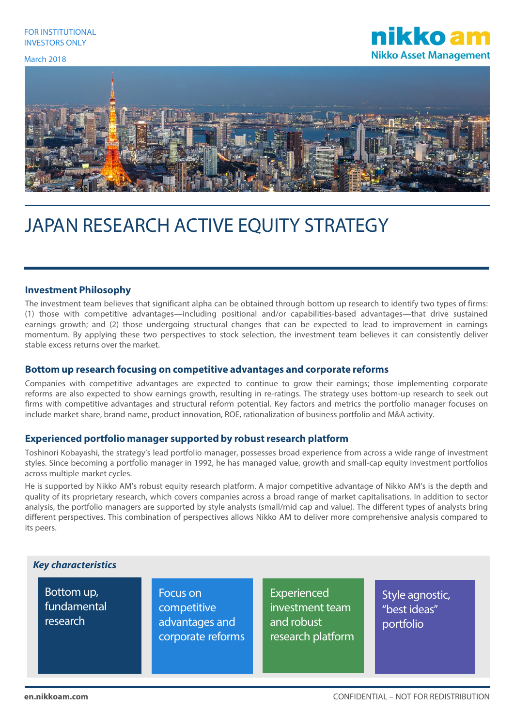#### March 2018





# JAPAN RESEARCH ACTIVE EQUITY STRATEGY

#### **Investment Philosophy**

The investment team believes that significant alpha can be obtained through bottom up research to identify two types of firms: (1) those with competitive advantages—including positional and/or capabilities-based advantages—that drive sustained earnings growth; and (2) those undergoing structural changes that can be expected to lead to improvement in earnings momentum. By applying these two perspectives to stock selection, the investment team believes it can consistently deliver stable excess returns over the market.

#### **Bottom up research focusing on competitive advantages and corporate reforms**

Companies with competitive advantages are expected to continue to grow their earnings; those implementing corporate reforms are also expected to show earnings growth, resulting in re-ratings. The strategy uses bottom-up research to seek out firms with competitive advantages and structural reform potential. Key factors and metrics the portfolio manager focuses on include market share, brand name, product innovation, ROE, rationalization of business portfolio and M&A activity.

# **Experienced portfolio manager supported by robust research platform**

Toshinori Kobayashi, the strategy's lead portfolio manager, possesses broad experience from across a wide range of investment styles. Since becoming a portfolio manager in 1992, he has managed value, growth and small-cap equity investment portfolios across multiple market cycles.

He is supported by Nikko AM's robust equity research platform. A major competitive advantage of Nikko AM's is the depth and quality of its proprietary research, which covers companies across a broad range of market capitalisations. In addition to sector analysis, the portfolio managers are supported by style analysts (small/mid cap and value). The different types of analysts bring different perspectives. This combination of perspectives allows Nikko AM to deliver more comprehensive analysis compared to its peers.

# *Key characteristics*

Bottom up, fundamental research

Focus on competitive advantages and corporate reforms

Experienced investment team and robust research platform Style agnostic, "best ideas" portfolio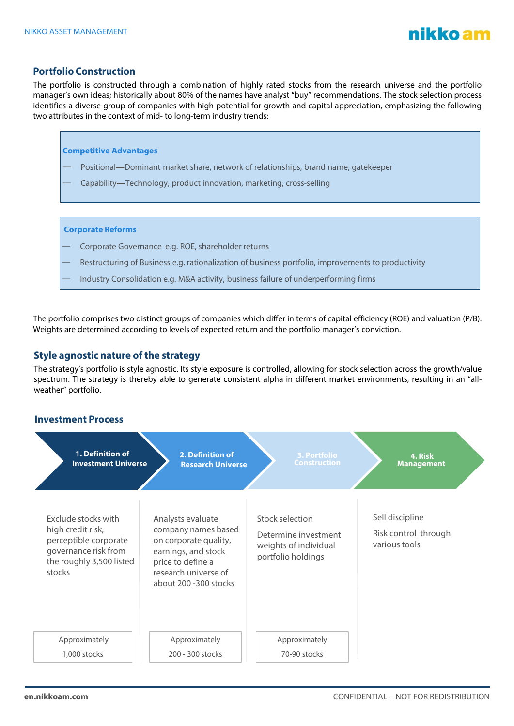

## **Portfolio Construction**

The portfolio is constructed through a combination of highly rated stocks from the research universe and the portfolio manager's own ideas; historically about 80% of the names have analyst "buy" recommendations. The stock selection process identifies a diverse group of companies with high potential for growth and capital appreciation, emphasizing the following two attributes in the context of mid- to long-term industry trends:



The portfolio comprises two distinct groups of companies which differ in terms of capital efficiency (ROE) and valuation (P/B). Weights are determined according to levels of expected return and the portfolio manager's conviction.

#### **Style agnostic nature of the strategy**

The strategy's portfolio is style agnostic. Its style exposure is controlled, allowing for stock selection across the growth/value spectrum. The strategy is thereby able to generate consistent alpha in different market environments, resulting in an "allweather" portfolio.

#### **Investment Process**

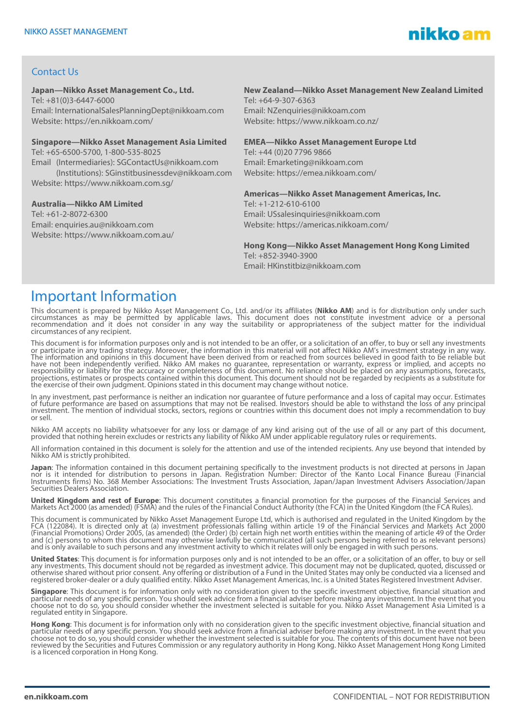

## Contact Us

#### **Japan—Nikko Asset Management Co., Ltd.**

Tel: +81(0)3-6447-6000 Email: InternationalSalesPlanningDept@nikkoam.com Website: https://en.nikkoam.com/

#### **Singapore—Nikko Asset Management Asia Limited**

Tel: +65-6500-5700, 1-800-535-8025 Email (Intermediaries): SGContactUs@nikkoam.com (Institutions): SGinstitbusinessdev@nikkoam.com Website: https://www.nikkoam.com.sg/

#### **Australia—Nikko AM Limited**

Tel: +61-2-8072-6300 Email: enquiries.au@nikkoam.com Website: https://www.nikkoam.com.au/

# **New Zealand—Nikko Asset Management New Zealand Limited**

Tel: +64-9-307-6363 Email: NZenquiries@nikkoam.com Website: https://www.nikkoam.co.nz/

#### **EMEA—Nikko Asset Management Europe Ltd**

Tel: +44 (0)20 7796 9866 Email: Emarketing@nikkoam.com Website: https://emea.nikkoam.com/

#### **Americas—Nikko Asset Management Americas, Inc.**

Tel: +1-212-610-6100 Email: USsalesinquiries@nikkoam.com Website: https://americas.nikkoam.com/

**Hong Kong—Nikko Asset Management Hong Kong Limited**  $Tel: +852-3940-3900$ Email: HKinstitbiz@nikkoam.com

# Important Information

This document is prepared by Nikko Asset Management Co., Ltd. and/or its affiliates (**Nikko AM**) and is for distribution only under such<br>circumstances as may be permitted by applicable laws. This document does not constitu circumstances of any recipient.

This document is for information purposes only and is not intended to be an offer, or a solicitation of an offer, to buy or sell any investments or participate in any trading strategy. Moreover, the information in this material will not affect Nikko AM's investment strategy in any way.<br>The information and opinions in this document have been derived from or reached responsibility or liability for the accuracy or completeness of this document. No reliance should be placed on any assumptions, forecasts, projections, estimates or prospects contained within this document. This document should not be regarded by recipients as a substitute for<br>the exercise of their own judgment. Opinions stated in this document may change wit

In any investment, past performance is neither an indication nor guarantee of future performance and a loss of capital may occur. Estimates of future performance are based on assumptions that may not be realised. Investors should be able to withstand the loss of any principal<br>investment. The mention of individual stocks, sectors, regions or countries within th or sell.

Nikko AM accepts no liability whatsoever for any loss or damage of any kind arising out of the use of all or any part of this document,<br>provided that nothing herein excludes or restricts any liability of Nikko AM under app

All information contained in this document is solely for the attention and use of the intended recipients. Any use beyond that intended by Nikko AM is strictly prohibited.

**Japan**: The information contained in this document pertaining specifically to the investment products is not directed at persons in Japan nor is it intended for distribution to persons in Japan. Registration Number: Director of the Kanto Local Finance Bureau (Financial Instruments firms) No. 368 Member Associations: The Investment Trusts Association, Japan/Japan Investment Advisers Association/Japan<br>Securities Dealers Association.

**United Kingdom and rest of Europe**: This document constitutes a financial promotion for the purposes of the Financial Services and Markets Act 2000 (as amended) (FSMA) and the rules of the Financial Conduct Authority (the FCA) in the United Kingdom (the FCA Rules).

This document is communicated by Nikko Asset Management Europe Ltd, which is authorised and regulated in the United Kingdom by the FCA (122084). It is directed only at (a) investment professionals falling within article 19 of the Financial Services and Markets Act 2000 (Financial Promotions) Order 2005, (as amended) (the Order) (b) certain high net worth entities within the meaning of article 49 of the Order<br>and (c) persons to whom this document may otherwise lawfully be communicated (al

**United States**: This document is for information purposes only and is not intended to be an offer, or a solicitation of an offer, to buy or sell<br>any investments. This document should not be regarded as investment advice. otherwise shared without prior consent. Any offering or distribution of a Fund in the United States may only be conducted via a licensed and registered broker-dealer or a duly qualified entity. Nikko Asset Management Americas, Inc. is a United States Registered Investment Adviser.

**Singapore**: This document is for information only with no consideration given to the specific investment objective, financial situation and particular needs of any specific person. You should seek advice from a finañcial adviser before making any investment. In the event that you<br>choose not to do so, you should consider whether the investment selected is suita

**Hong Kong**: This document is for information only with no consideration given to the specific investment objective, financial situation and particular needs of any specific person. You should seek advice from a financial adviser before making any investment. In the event that you<br>choose not to do so, you should consider whether the investment selected is suita reviewed by the Securities and Futures Commission or any regulatory authority in Hong Kong. Nikko Asset Management Hong Kong Limited is a licenced corporation in Hong Kong.